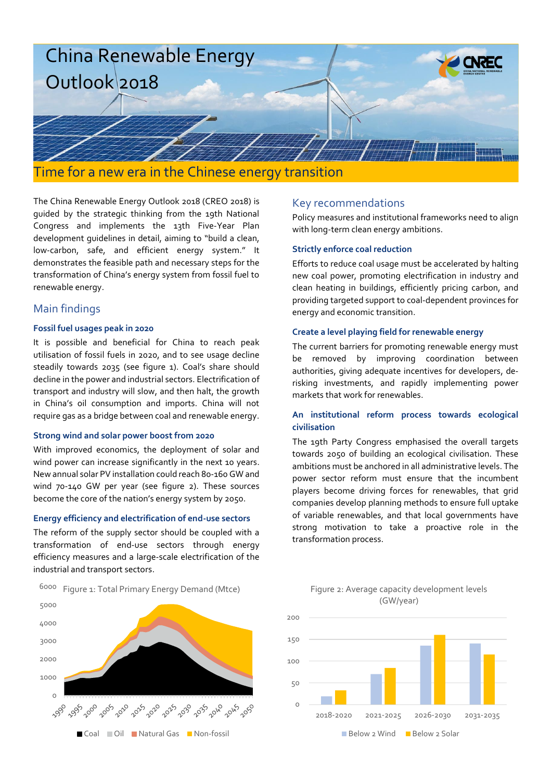

The China Renewable Energy Outlook 2018 (CREO 2018) is guided by the strategic thinking from the 19th National Congress and implements the 13th Five-Year Plan development guidelines in detail, aiming to "build a clean, low-carbon, safe, and efficient energy system." It demonstrates the feasible path and necessary steps for the transformation of China's energy system from fossil fuel to renewable energy.

## Main findings

 $\Omega$ 

1000 2000

#### **Fossil fuel usages peak in 2020**

It is possible and beneficial for China to reach peak utilisation of fossil fuels in 2020, and to see usage decline steadily towards 2035 (see figure 1). Coal's share should decline in the power and industrial sectors. Electrification of transport and industry will slow, and then halt, the growth in China's oil consumption and imports. China will not require gas as a bridge between coal and renewable energy.

#### **Strong wind and solar power boost from 2020**

With improved economics, the deployment of solar and wind power can increase significantly in the next 10 years. New annual solar PV installation could reach 80-160 GW and wind 70-140 GW per year (see figure 2). These sources become the core of the nation's energy system by 2050.

### **Energy efficiency and electrification of end-use sectors**

The reform of the supply sector should be coupled with a transformation of end-use sectors through energy efficiency measures and a large-scale electrification of the industrial and transport sectors.



■ Coal ■ Oil ■ Natural Gas ■ Non-fossil

్య సిబ్బాం 'స్ట్రీ 'స్ట్రీ' 'స్ట్రీ' 'స్ట్రీ' 'స్ట్రీ' 'స్ట్రీ' 'స్ట్రీ'

## Key recommendations

Policy measures and institutional frameworks need to align with long-term clean energy ambitions.

### **Strictly enforce coal reduction**

Efforts to reduce coal usage must be accelerated by halting new coal power, promoting electrification in industry and clean heating in buildings, efficiently pricing carbon, and providing targeted support to coal-dependent provinces for energy and economic transition.

### **Create a level playing field for renewable energy**

The current barriers for promoting renewable energy must be removed by improving coordination between authorities, giving adequate incentives for developers, derisking investments, and rapidly implementing power markets that work for renewables.

### **An institutional reform process towards ecological civilisation**

The 19th Party Congress emphasised the overall targets towards 2050 of building an ecological civilisation. These ambitions must be anchored in all administrative levels. The power sector reform must ensure that the incumbent players become driving forces for renewables, that grid companies develop planning methods to ensure full uptake of variable renewables, and that local governments have strong motivation to take a proactive role in the transformation process.



#### Figure 2: Average capacity development levels (GW/year)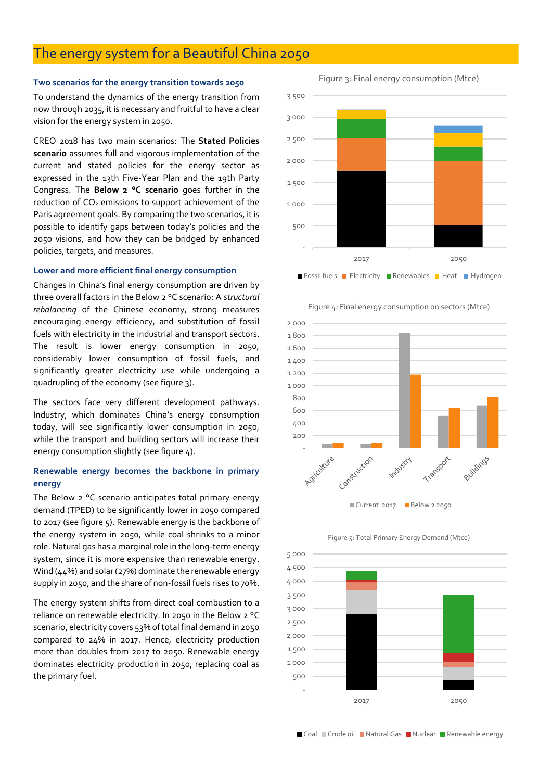## The energy system for a Beautiful China 2050

#### **Two scenarios for the energy transition towards 2050**

To understand the dynamics of the energy transition from now through 2035, it is necessary and fruitful to have a clear vision for the energy system in 2050.

CREO 2018 has two main scenarios: The **Stated Policies scenario** assumes full and vigorous implementation of the current and stated policies for the energy sector as expressed in the 13th Five-Year Plan and the 19th Party Congress. The **Below 2 °C scenario** goes further in the reduction of  $CO<sub>2</sub>$  emissions to support achievement of the Paris agreement goals. By comparing the two scenarios, it is possible to identify gaps between today's policies and the 2050 visions, and how they can be bridged by enhanced policies, targets, and measures.

#### **Lower and more efficient final energy consumption**

Changes in China's final energy consumption are driven by three overall factors in the Below 2 °C scenario: A *structural rebalancing* of the Chinese economy, strong measures encouraging energy efficiency, and substitution of fossil fuels with electricity in the industrial and transport sectors. The result is lower energy consumption in 2050, considerably lower consumption of fossil fuels, and significantly greater electricity use while undergoing a quadrupling of the economy (see figure 3).

The sectors face very different development pathways. Industry, which dominates China's energy consumption today, will see significantly lower consumption in 2050, while the transport and building sectors will increase their energy consumption slightly (see figure 4).

## **Renewable energy becomes the backbone in primary energy**

The Below 2 °C scenario anticipates total primary energy demand (TPED) to be significantly lower in 2050 compared to 2017 (see figure 5). Renewable energy is the backbone of the energy system in 2050, while coal shrinks to a minor role. Natural gas has a marginal role in the long-term energy system, since it is more expensive than renewable energy. Wind (44%) and solar (27%) dominate the renewable energy supply in 2050, and the share of non-fossil fuels rises to 70%.

The energy system shifts from direct coal combustion to a reliance on renewable electricity. In 2050 in the Below 2 °C scenario, electricity covers 53% of total final demand in 2050 compared to 24% in 2017. Hence, electricity production more than doubles from 2017 to 2050. Renewable energy dominates electricity production in 2050, replacing coal as the primary fuel.

Figure 3: Final energy consumption (Mtce)





Figure 4: Final energy consumption on sectors (Mtce)



Figure 5: Total Primary Energy Demand (Mtce)



■ Coal ■ Crude oil ■ Natural Gas ■ Nuclear ■ Renewable energy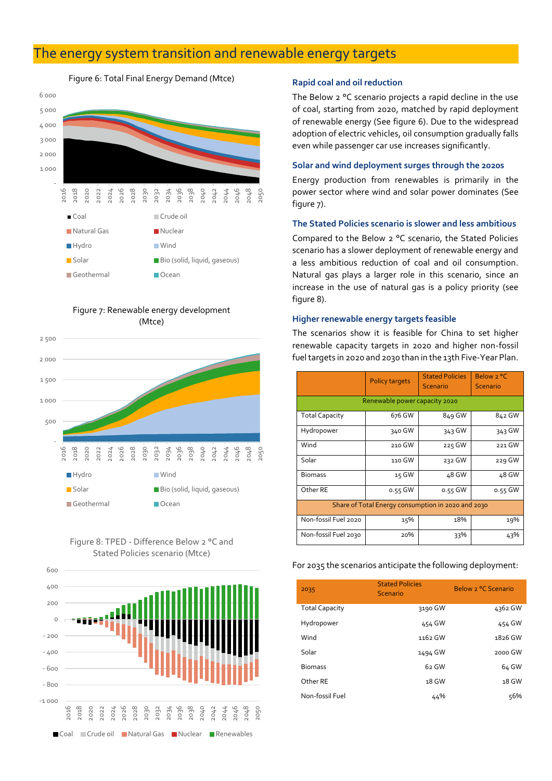## The energy system transition and renewable energy targets

Figure 6: Total Final Energy Demand (Mtce)



Figure 7: Renewable energy development (Mtce)







#### **Rapid coal and oil reduction**

The Below 2 °C scenario projects a rapid decline in the use of coal, starting from 2020, matched by rapid deployment of renewable energy (See figure 6). Due to the widespread adoption of electric vehicles, oil consumption gradually falls even while passenger car use increases significantly.

#### **Solar and wind deployment surges through the 2020s**

Energy production from renewables is primarily in the power sector where wind and solar power dominates (See figure 7).

#### **The Stated Policies scenario is slower and less ambitious**

Compared to the Below 2 °C scenario, the Stated Policies scenario has a slower deployment of renewable energy and a less ambitious reduction of coal and oil consumption. Natural gas plays a larger role in this scenario, since an increase in the use of natural gas is a policy priority (see figure 8).

#### **Higher renewable energy targets feasible**

The scenarios show it is feasible for China to set higher renewable capacity targets in 2020 and higher non-fossil fuel targets in 2020 and 2030 than in the 13th Five-Year Plan.

|                                                    | <b>Policy targets</b> | <b>Stated Policies</b><br>Scenario | Below 2 °C<br>Scenario |  |  |  |  |  |  |
|----------------------------------------------------|-----------------------|------------------------------------|------------------------|--|--|--|--|--|--|
| Renewable power capacity 2020                      |                       |                                    |                        |  |  |  |  |  |  |
| <b>Total Capacity</b>                              | 676 GW                | 849 GW                             | 842 GW                 |  |  |  |  |  |  |
| Hydropower                                         | 340 GW                | 343 GW                             | 343 GW                 |  |  |  |  |  |  |
| Wind                                               | 210 GW                | 225 GW                             | 221 GW                 |  |  |  |  |  |  |
| Solar                                              | 110 GW                | 232 GW                             | 229 GW                 |  |  |  |  |  |  |
| <b>Biomass</b>                                     | 15 GW                 | 48 GW                              | 48 GW                  |  |  |  |  |  |  |
| Other RE                                           | 0.55 GW               | 0.55 GW                            | 0.55 GW                |  |  |  |  |  |  |
| Share of Total Energy consumption in 2020 and 2030 |                       |                                    |                        |  |  |  |  |  |  |
| Non-fossil Fuel 2020                               | 15%                   | 18%                                | 19%                    |  |  |  |  |  |  |
| Non-fossil Fuel 2030                               | 20%                   | 33%                                | 43%                    |  |  |  |  |  |  |

For 2035 the scenarios anticipate the following deployment:

| 2035                  | <b>Stated Policies</b><br>Scenario | Below 2 °C Scenario |
|-----------------------|------------------------------------|---------------------|
| <b>Total Capacity</b> | 3190 GW                            | 4362 GW             |
| Hydropower            | 454 GW                             | 454 GW              |
| Wind                  | 1162 GW                            | 1826 GW             |
| Solar                 | 1494 GW                            | 2000 GW             |
| <b>Biomass</b>        | 62 GW                              | 64 GW               |
| Other RE              | 18 GW                              | 18 GW               |
| Non-fossil Fuel       | 44%                                | 56%                 |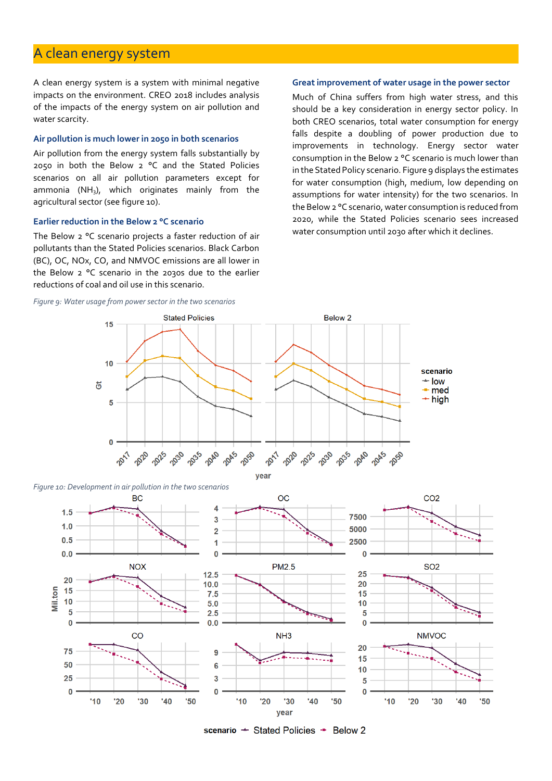## A clean energy system

A clean energy system is a system with minimal negative impacts on the environment. CREO 2018 includes analysis of the impacts of the energy system on air pollution and water scarcity.

#### **Air pollution is much lower in 2050 in both scenarios**

Air pollution from the energy system falls substantially by 2050 in both the Below 2 °C and the Stated Policies scenarios on all air pollution parameters except for ammonia (NH<sub>3</sub>), which originates mainly from the agricultural sector (see figure 10).

#### **Earlier reduction in the Below 2 °C scenario**

The Below 2 °C scenario projects a faster reduction of air pollutants than the Stated Policies scenarios. Black Carbon (BC), OC, NOx, CO, and NMVOC emissions are all lower in the Below 2 °C scenario in the 2030s due to the earlier reductions of coal and oil use in this scenario.

#### *Figure 9: Water usage from power sector in the two scenarios*

#### **Great improvement of water usage in the power sector**

Much of China suffers from high water stress, and this should be a key consideration in energy sector policy. In both CREO scenarios, total water consumption for energy falls despite a doubling of power production due to improvements in technology. Energy sector water consumption in the Below 2 °C scenario is much lower than in the Stated Policy scenario. Figure 9 displays the estimates for water consumption (high, medium, low depending on assumptions for water intensity) for the two scenarios. In the Below 2 °C scenario, water consumption is reduced from 2020, while the Stated Policies scenario sees increased water consumption until 2030 after which it declines.



scenario - Stated Policies - Below 2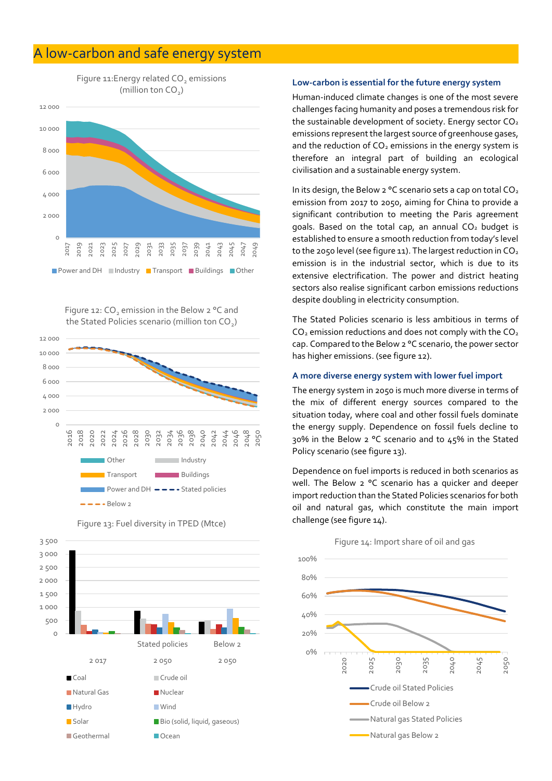## A low-carbon and safe energy system



Figure 12: CO<sub>2</sub> emission in the Below 2 °C and the Stated Policies scenario (million ton CO $_{\textrm{\tiny{2}}}$ )





Figure 13: Fuel diversity in TPED (Mtce)

#### **Low-carbon is essential for the future energy system**

Human-induced climate changes is one of the most severe challenges facing humanity and poses a tremendous risk for the sustainable development of society. Energy sector  $CO<sub>2</sub>$ emissions represent the largest source of greenhouse gases, and the reduction of  $CO<sub>2</sub>$  emissions in the energy system is therefore an integral part of building an ecological civilisation and a sustainable energy system.

In its design, the Below 2 °C scenario sets a cap on total  $CO<sub>2</sub>$ emission from 2017 to 2050, aiming for China to provide a significant contribution to meeting the Paris agreement goals. Based on the total cap, an annual  $CO<sub>2</sub>$  budget is established to ensure a smooth reduction from today's level to the 2050 level (see figure 11). The largest reduction in  $CO<sub>2</sub>$ emission is in the industrial sector, which is due to its extensive electrification. The power and district heating sectors also realise significant carbon emissions reductions despite doubling in electricity consumption.

The Stated Policies scenario is less ambitious in terms of  $CO<sub>2</sub>$  emission reductions and does not comply with the  $CO<sub>2</sub>$ cap. Compared to the Below 2 °C scenario, the power sector has higher emissions. (see figure 12).

#### **A more diverse energy system with lower fuel import**

The energy system in 2050 is much more diverse in terms of the mix of different energy sources compared to the situation today, where coal and other fossil fuels dominate the energy supply. Dependence on fossil fuels decline to 30% in the Below 2 °C scenario and to 45% in the Stated Policy scenario (see figure 13).

Dependence on fuel imports is reduced in both scenarios as well. The Below 2 °C scenario has a quicker and deeper import reduction than the Stated Policies scenarios for both oil and natural gas, which constitute the main import challenge (see figure 14).

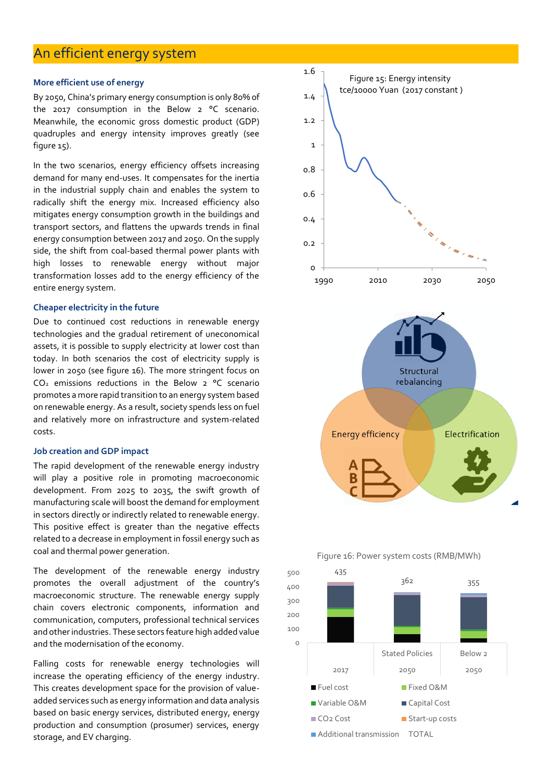## An efficient energy system

#### **More efficient use of energy**

By 2050, China's primary energy consumption is only 80% of the 2017 consumption in the Below 2 °C scenario. Meanwhile, the economic gross domestic product (GDP) quadruples and energy intensity improves greatly (see figure 15).

In the two scenarios, energy efficiency offsets increasing demand for many end-uses. It compensates for the inertia in the industrial supply chain and enables the system to radically shift the energy mix. Increased efficiency also mitigates energy consumption growth in the buildings and transport sectors, and flattens the upwards trends in final energy consumption between 2017 and 2050. On the supply side, the shift from coal-based thermal power plants with high losses to renewable energy without major transformation losses add to the energy efficiency of the entire energy system.

#### **Cheaper electricity in the future**

Due to continued cost reductions in renewable energy technologies and the gradual retirement of uneconomical assets, it is possible to supply electricity at lower cost than today. In both scenarios the cost of electricity supply is lower in 2050 (see figure 16). The more stringent focus on  $CO<sub>2</sub>$  emissions reductions in the Below  $2^{\circ}$ C scenario promotes a more rapid transition to an energy system based on renewable energy. As a result, society spends less on fuel and relatively more on infrastructure and system-related costs.

#### **Job creation and GDP impact**

The rapid development of the renewable energy industry will play a positive role in promoting macroeconomic development. From 2025 to 2035, the swift growth of manufacturing scale will boost the demand for employment in sectors directly or indirectly related to renewable energy. This positive effect is greater than the negative effects related to a decrease in employment in fossil energy such as coal and thermal power generation.

The development of the renewable energy industry promotes the overall adjustment of the country's macroeconomic structure. The renewable energy supply chain covers electronic components, information and communication, computers, professional technical services and other industries. These sectors feature high added value and the modernisation of the economy.

Falling costs for renewable energy technologies will increase the operating efficiency of the energy industry. This creates development space for the provision of valueadded services such as energy information and data analysis based on basic energy services, distributed energy, energy production and consumption (prosumer) services, energy storage, and EV charging.





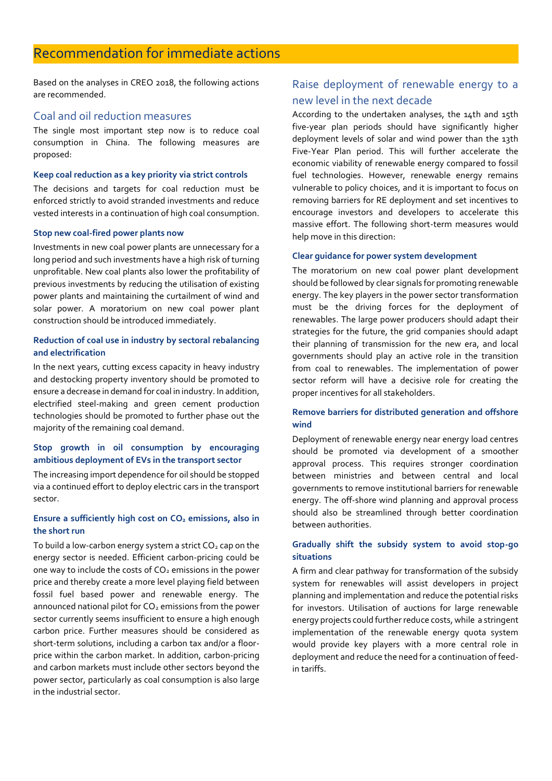Based on the analyses in CREO 2018, the following actions are recommended.

## Coal and oil reduction measures

The single most important step now is to reduce coal consumption in China. The following measures are proposed:

#### **Keep coal reduction as a key priority via strict controls**

The decisions and targets for coal reduction must be enforced strictly to avoid stranded investments and reduce vested interests in a continuation of high coal consumption.

#### **Stop new coal-fired power plants now**

Investments in new coal power plants are unnecessary for a long period and such investments have a high risk of turning unprofitable. New coal plants also lower the profitability of previous investments by reducing the utilisation of existing power plants and maintaining the curtailment of wind and solar power. A moratorium on new coal power plant construction should be introduced immediately.

### **Reduction of coal use in industry by sectoral rebalancing and electrification**

In the next years, cutting excess capacity in heavy industry and destocking property inventory should be promoted to ensure a decrease in demand for coal in industry. In addition, electrified steel-making and green cement production technologies should be promoted to further phase out the majority of the remaining coal demand.

## **Stop growth in oil consumption by encouraging ambitious deployment of EVs in the transport sector**

The increasing import dependence for oil should be stopped via a continued effort to deploy electric cars in the transport sector.

## **Ensure a sufficiently high cost on CO<sup>2</sup> emissions, also in the short run**

To build a low-carbon energy system a strict  $CO<sub>2</sub>$  cap on the energy sector is needed. Efficient carbon-pricing could be one way to include the costs of  $CO<sub>2</sub>$  emissions in the power price and thereby create a more level playing field between fossil fuel based power and renewable energy. The announced national pilot for  $CO<sub>2</sub>$  emissions from the power sector currently seems insufficient to ensure a high enough carbon price. Further measures should be considered as short-term solutions, including a carbon tax and/or a floorprice within the carbon market. In addition, carbon-pricing and carbon markets must include other sectors beyond the power sector, particularly as coal consumption is also large in the industrial sector.

## Raise deployment of renewable energy to a new level in the next decade

According to the undertaken analyses, the 14th and 15th five-year plan periods should have significantly higher deployment levels of solar and wind power than the 13th Five-Year Plan period. This will further accelerate the economic viability of renewable energy compared to fossil fuel technologies. However, renewable energy remains vulnerable to policy choices, and it is important to focus on removing barriers for RE deployment and set incentives to encourage investors and developers to accelerate this massive effort. The following short-term measures would help move in this direction:

#### **Clear guidance for power system development**

The moratorium on new coal power plant development should be followed by clear signals for promoting renewable energy. The key players in the power sector transformation must be the driving forces for the deployment of renewables. The large power producers should adapt their strategies for the future, the grid companies should adapt their planning of transmission for the new era, and local governments should play an active role in the transition from coal to renewables. The implementation of power sector reform will have a decisive role for creating the proper incentives for all stakeholders.

## **Remove barriers for distributed generation and offshore wind**

Deployment of renewable energy near energy load centres should be promoted via development of a smoother approval process. This requires stronger coordination between ministries and between central and local governments to remove institutional barriers for renewable energy. The off-shore wind planning and approval process should also be streamlined through better coordination between authorities.

## **Gradually shift the subsidy system to avoid stop-go situations**

A firm and clear pathway for transformation of the subsidy system for renewables will assist developers in project planning and implementation and reduce the potential risks for investors. Utilisation of auctions for large renewable energy projects could further reduce costs, while a stringent implementation of the renewable energy quota system would provide key players with a more central role in deployment and reduce the need for a continuation of feedin tariffs.